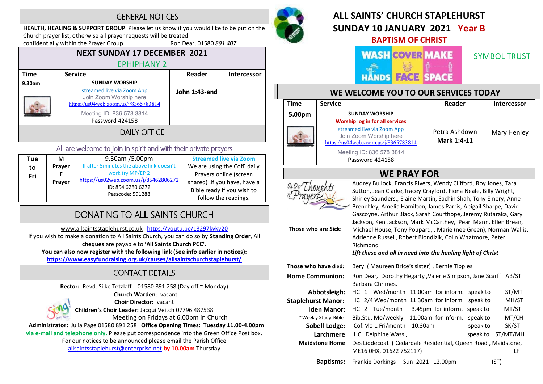### **GENERAL NOTICES**

HEALTH, HEALING & SUPPORT GROUP Please let us know if you would like to be put on the

Church prayer list, otherwise all prayer requests will be treated<br>
confidentially within the Prayer Group. Ron Dear, 01580 891 407

confidentially within the Prayer Group.

# NEXT SUNDAY 17 DECEMBER 2021 EPHIPHANY 2

| Time         | <b>Service</b>                                                                               | Reader        | <b>Intercessor</b> |  |
|--------------|----------------------------------------------------------------------------------------------|---------------|--------------------|--|
| 9.30am       | <b>SUNDAY WORSHIP</b>                                                                        |               |                    |  |
|              | streamed live via Zoom App<br>Join Zoom Worship here<br>https://us04web.zoom.us/j/8365783814 | John 1:43-end |                    |  |
|              | Meeting ID: 836 578 3814<br>Password 424158                                                  |               |                    |  |
| DAILY OFFICE |                                                                                              |               |                    |  |

### All are welcome to join in spirit and with their private prayers

| Tue | М      | 9.30am /5.00pm                           | <b>Streamed live via Zoom</b> |
|-----|--------|------------------------------------------|-------------------------------|
| to  | Prayer | If after 5minutes the above link doesn't | We are using the CofE daily   |
| Fri |        | work try MP/EP 2                         | Prayers online (screen        |
|     | Prayer | https://us02web.zoom.us/j/85462806272    | shared) .If you have, have a  |
|     |        | ID: 854 6280 6272                        | Bible ready if you wish to    |
|     |        | Passcode: 591288                         | follow the readings.          |

# DONATING TO ALL SAINTS CHURCH

www.allsaintsstaplehurst.co.uk https://youtu.be/13297kvky20 If you wish to make a donation to All Saints Church, you can do so by Standing Order, All cheques are payable to 'All Saints Church PCC'. You can also now register with the following link (See info earlier in notices): https://www.easyfundraising.org.uk/causes/allsaintschurchstaplehurst/

# **CONTACT DETAILS**

Rector: Revd. Silke Tetzlaff 01580 891 258 (Day off ~ Monday) Church Warden: vacant Choir Director: vacant Children's Choir Leader: Jacqui Veitch 07796 487538 Meeting on Fridays at 6.00pm in Church Administrator: Julia Page 01580 891 258 Office Opening Times: Tuesday 11.00-4.00pm via e-mail and telephone only. Please put correspondence into the Green Office Post box. For our notices to be announced please email the Parish Office allsaintsstaplehurst@enterprise.net by 10.00am Thursday



## ALL SAINTS' CHURCH STAPI FHURST SUNDAY 10 JANUARY 2021 Year B BAPTISM OF CHRIST

### **WASH COVER MAKE FACE** HANDS

SYMBOL TRUST

### WE WELCOME YOU TO OUR SERVICES TODAY

| <b>Time</b> | <b>Service</b>                                                                               | Reader                       | <b>Intercessor</b> |
|-------------|----------------------------------------------------------------------------------------------|------------------------------|--------------------|
| 5.00pm      | <b>SUNDAY WORSHIP</b><br><b>Worship log in for all services</b>                              |                              |                    |
|             | streamed live via Zoom App<br>Join Zoom Worship here<br>https://us04web.zoom.us/j/8365783814 | Petra Ashdown<br>Mark 1:4-11 | Mary Henley        |
|             | Meeting ID: 836 578 3814<br>Password 424158                                                  |                              |                    |



Those who are Sick:

WE PRAY FOR<br>
For The average to Audrey Bullock, Francis Rivers, Wendy Clifford, Roy Jones, Tara Sutton, Jean Clarke,Tracey Crayford, Fiona Neale, Billy Wright, Shirley Saunders,, Elaine Martin, Sachin Shah, Tony Emery, Anne Brenchley, Amelia Hamilton, James Parris, Abigail Sharpe, David Gascoyne, Arthur Black, Sarah Courthope, Jeremy Rutaraka, Gary Jackson, Ken Jackson, Mark McCarthey, Pearl Mann, Ellen Brean, Michael House, Tony Poupard, , Marie (nee Green), Norman Wallis, Adrienne Russell, Robert Blondizik, Colin Whatmore, Peter Richmond

Lift these and all in need into the healing light of Christ

| Those who have died:      | Beryl (Maureen Brice's sister), Bernie Tipples                 |  |  |
|---------------------------|----------------------------------------------------------------|--|--|
| <b>Home Communion:</b>    | Ron Dear, Dorothy Hegarty , Valerie Simpson, Jane Scarff AB/ST |  |  |
|                           | Barbara Chrimes.                                               |  |  |
| Abbotsleigh:              | HC 1 Wed/month 11.00am for inform. speak to<br>ST/MT           |  |  |
| <b>Staplehurst Manor:</b> | MH/ST<br>HC 2/4 Wed/month 11.30am for inform. speak to         |  |  |
| <b>Iden Manor:</b>        | MT/ST<br>HC 2 Tue/month 3.45pm for inform. speak to            |  |  |
| ~Weekly Study Bible       | MT/CH<br>Bib.Stu. Mo/weekly 11.00am for inform. speak to       |  |  |
| <b>Sobell Lodge:</b>      | SK/ST<br>Cof.Mo 1 Fri/month<br>10.30am<br>speak to             |  |  |
| Larchmere                 | ST/MT/MH<br>HC Delphine Wass,<br>speak to                      |  |  |
| <b>Maidstone Home</b>     | Des Liddecoat (Cedardale Residential, Queen Road, Maidstone,   |  |  |
|                           | ME16 0HX, 01622 752117)<br>LF                                  |  |  |
| <b>Baptisms:</b>          | Frankie Dorkings Sun 2021 12.00pm<br>(ST)                      |  |  |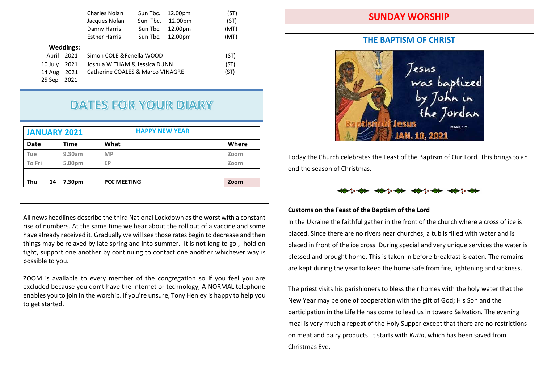|         |                  | Charles Nolan                    | Sun Tbc. | 12.00pm | (ST) |
|---------|------------------|----------------------------------|----------|---------|------|
|         |                  | Jacques Nolan                    | Sun Tbc. | 12.00pm | (ST) |
|         |                  | Danny Harris                     | Sun Tbc. | 12.00pm | (MT) |
|         |                  | <b>Esther Harris</b>             | Sun Tbc. | 12.00pm | (MT) |
|         | <b>Weddings:</b> |                                  |          |         |      |
| April   | 2021             | Simon COLE & Fenella WOOD        |          |         | (ST) |
| 10 July | 2021             | Joshua WITHAM & Jessica DUNN     |          |         | (ST) |
| 14 Aug  | 2021             | Catherine COALES & Marco VINAGRE |          |         | (ST) |
| 25 Sep  | 2021             |                                  |          |         |      |
|         |                  |                                  |          |         |      |

# **DATES FOR YOUR DIARY**

|             | <b>HAPPY NEW YEAR</b><br><b>JANUARY 2021</b> |        |                    |       |
|-------------|----------------------------------------------|--------|--------------------|-------|
| <b>Date</b> |                                              | Time   | What               | Where |
| Tue         |                                              | 9.30am | <b>MP</b>          | Zoom  |
| To Fri      |                                              | 5.00pm | EP                 | Zoom  |
|             |                                              |        |                    |       |
| Thu         | 14                                           | 7.30pm | <b>PCC MEETING</b> | Zoom  |

All news headlines describe the third National Lockdown as the worst with a constant rise of numbers. At the same time we hear about the roll out of a vaccine and some have already received it. Gradually we will see those rates begin to decrease and then things may be relaxed by late spring and into summer. It is not long to go , hold on tight, support one another by continuing to contact one another whichever way is possible to you.

ZOOM is available to every member of the congregation so if you feel you are excluded because you don't have the internet or technology, A NORMAL telephone enables you to join in the worship. If you're unsure, Tony Henley is happy to help you to get started.

### SUNDAY WORSHIP

#### THE BAPTISM OF CHRIST



Today the Church celebrates the Feast of the Baptism of Our Lord. This brings to an end the season of Christmas.



#### Customs on the Feast of the Baptism of the Lord

In the Ukraine the faithful gather in the front of the church where a cross of ice is placed. Since there are no rivers near churches, a tub is filled with water and is placed in front of the ice cross. During special and very unique services the water is blessed and brought home. This is taken in before breakfast is eaten. The remains are kept during the year to keep the home safe from fire, lightening and sickness.

The priest visits his parishioners to bless their homes with the holy water that the New Year may be one of cooperation with the gift of God; His Son and the participation in the Life He has come to lead us in toward Salvation. The evening meal is very much a repeat of the Holy Supper except that there are no restrictions on meat and dairy products. It starts with Kutia, which has been saved from Christmas Eve.